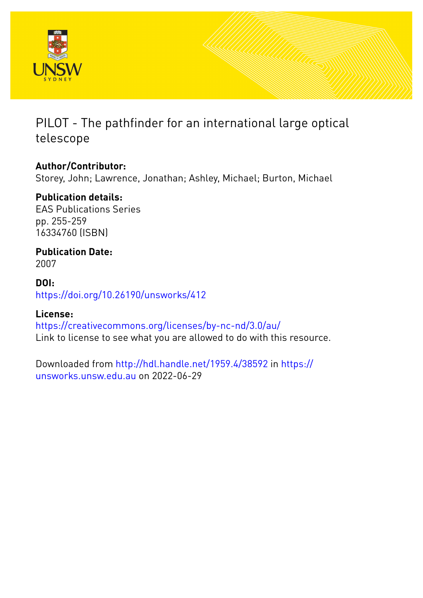

## PILOT - The pathfinder for an international large optical telescope

## **Author/Contributor:**

Storey, John; Lawrence, Jonathan; Ashley, Michael; Burton, Michael

## **Publication details:**

EAS Publications Series pp. 255-259 16334760 (ISBN)

# **Publication Date:**

2007

## **DOI:** [https://doi.org/10.26190/unsworks/412](http://dx.doi.org/https://doi.org/10.26190/unsworks/412)

## **License:**

<https://creativecommons.org/licenses/by-nc-nd/3.0/au/> Link to license to see what you are allowed to do with this resource.

Downloaded from <http://hdl.handle.net/1959.4/38592> in [https://](https://unsworks.unsw.edu.au) [unsworks.unsw.edu.au](https://unsworks.unsw.edu.au) on 2022-06-29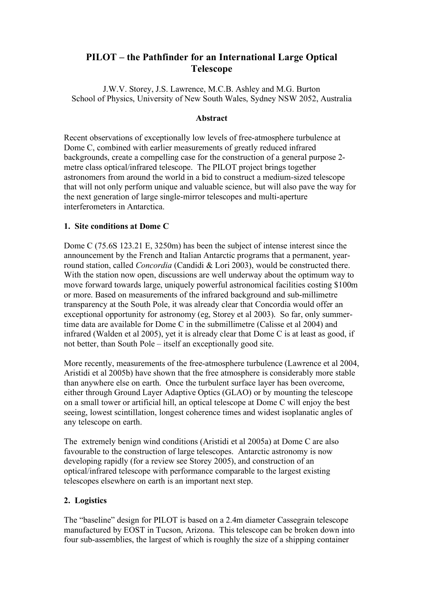### **PILOT – the Pathfinder for an International Large Optical Telescope**

J.W.V. Storey, J.S. Lawrence, M.C.B. Ashley and M.G. Burton School of Physics, University of New South Wales, Sydney NSW 2052, Australia

#### **Abstract**

Recent observations of exceptionally low levels of free-atmosphere turbulence at Dome C, combined with earlier measurements of greatly reduced infrared backgrounds, create a compelling case for the construction of a general purpose 2 metre class optical/infrared telescope. The PILOT project brings together astronomers from around the world in a bid to construct a medium-sized telescope that will not only perform unique and valuable science, but will also pave the way for the next generation of large single-mirror telescopes and multi-aperture interferometers in Antarctica.

#### **1. Site conditions at Dome C**

Dome C (75.6S 123.21 E, 3250m) has been the subject of intense interest since the announcement by the French and Italian Antarctic programs that a permanent, yearround station, called *Concordia* (Candidi & Lori 2003), would be constructed there. With the station now open, discussions are well underway about the optimum way to move forward towards large, uniquely powerful astronomical facilities costing \$100m or more. Based on measurements of the infrared background and sub-millimetre transparency at the South Pole, it was already clear that Concordia would offer an exceptional opportunity for astronomy (eg, Storey et al 2003). So far, only summertime data are available for Dome C in the submillimetre (Calisse et al 2004) and infrared (Walden et al 2005), yet it is already clear that Dome C is at least as good, if not better, than South Pole – itself an exceptionally good site.

More recently, measurements of the free-atmosphere turbulence (Lawrence et al 2004, Aristidi et al 2005b) have shown that the free atmosphere is considerably more stable than anywhere else on earth. Once the turbulent surface layer has been overcome, either through Ground Layer Adaptive Optics (GLAO) or by mounting the telescope on a small tower or artificial hill, an optical telescope at Dome C will enjoy the best seeing, lowest scintillation, longest coherence times and widest isoplanatic angles of any telescope on earth.

The extremely benign wind conditions (Aristidi et al 2005a) at Dome C are also favourable to the construction of large telescopes. Antarctic astronomy is now developing rapidly (for a review see Storey 2005), and construction of an optical/infrared telescope with performance comparable to the largest existing telescopes elsewhere on earth is an important next step.

#### **2. Logistics**

The "baseline" design for PILOT is based on a 2.4m diameter Cassegrain telescope manufactured by EOST in Tucson, Arizona. This telescope can be broken down into four sub-assemblies, the largest of which is roughly the size of a shipping container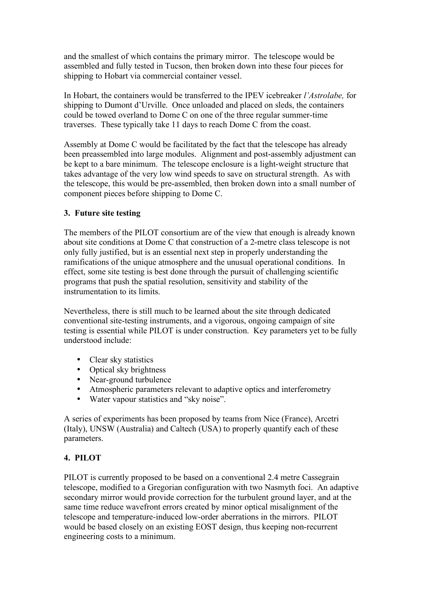and the smallest of which contains the primary mirror. The telescope would be assembled and fully tested in Tucson, then broken down into these four pieces for shipping to Hobart via commercial container vessel.

In Hobart, the containers would be transferred to the IPEV icebreaker *l'Astrolabe,* for shipping to Dumont d'Urville. Once unloaded and placed on sleds, the containers could be towed overland to Dome C on one of the three regular summer-time traverses. These typically take 11 days to reach Dome C from the coast.

Assembly at Dome C would be facilitated by the fact that the telescope has already been preassembled into large modules. Alignment and post-assembly adjustment can be kept to a bare minimum. The telescope enclosure is a light-weight structure that takes advantage of the very low wind speeds to save on structural strength. As with the telescope, this would be pre-assembled, then broken down into a small number of component pieces before shipping to Dome C.

#### **3. Future site testing**

The members of the PILOT consortium are of the view that enough is already known about site conditions at Dome C that construction of a 2-metre class telescope is not only fully justified, but is an essential next step in properly understanding the ramifications of the unique atmosphere and the unusual operational conditions. In effect, some site testing is best done through the pursuit of challenging scientific programs that push the spatial resolution, sensitivity and stability of the instrumentation to its limits.

Nevertheless, there is still much to be learned about the site through dedicated conventional site-testing instruments, and a vigorous, ongoing campaign of site testing is essential while PILOT is under construction. Key parameters yet to be fully understood include:

Clear sky statistics Optical sky brightness Near-ground turbulence Atmospheric parameters relevant to adaptive optics and interferometry Water vapour statistics and "sky noise".

A series of experiments has been proposed by teams from Nice (France), Arcetri (Italy), UNSW (Australia) and Caltech (USA) to properly quantify each of these parameters.

#### **4. PILOT**

PILOT is currently proposed to be based on a conventional 2.4 metre Cassegrain telescope, modified to a Gregorian configuration with two Nasmyth foci. An adaptive secondary mirror would provide correction for the turbulent ground layer, and at the same time reduce wavefront errors created by minor optical misalignment of the telescope and temperature-induced low-order aberrations in the mirrors. PILOT would be based closely on an existing EOST design, thus keeping non-recurrent engineering costs to a minimum.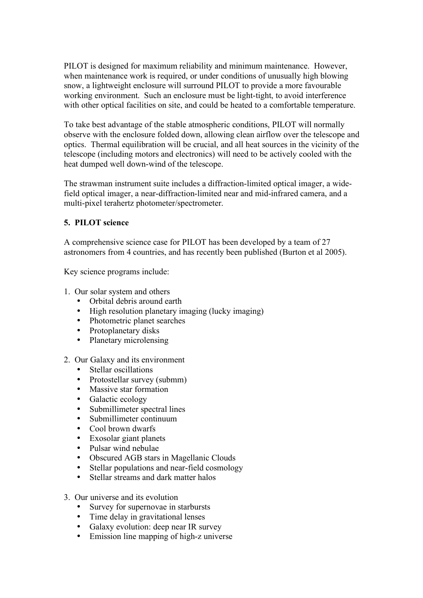PILOT is designed for maximum reliability and minimum maintenance. However, when maintenance work is required, or under conditions of unusually high blowing snow, a lightweight enclosure will surround PILOT to provide a more favourable working environment. Such an enclosure must be light-tight, to avoid interference with other optical facilities on site, and could be heated to a comfortable temperature.

To take best advantage of the stable atmospheric conditions, PILOT will normally observe with the enclosure folded down, allowing clean airflow over the telescope and optics. Thermal equilibration will be crucial, and all heat sources in the vicinity of the telescope (including motors and electronics) will need to be actively cooled with the heat dumped well down-wind of the telescope.

The strawman instrument suite includes a diffraction-limited optical imager, a widefield optical imager, a near-diffraction-limited near and mid-infrared camera, and a multi-pixel terahertz photometer/spectrometer.

#### **5. PILOT science**

A comprehensive science case for PILOT has been developed by a team of 27 astronomers from 4 countries, and has recently been published (Burton et al 2005).

Key science programs include:

- 1. Our solar system and others Orbital debris around earth High resolution planetary imaging (lucky imaging) Photometric planet searches Protoplanetary disks Planetary microlensing
- 2. Our Galaxy and its environment Stellar oscillations Protostellar survey (submm) Massive star formation Galactic ecology Submillimeter spectral lines Submillimeter continuum Cool brown dwarfs Exosolar giant planets Pulsar wind nebulae Obscured AGB stars in Magellanic Clouds Stellar populations and near-field cosmology Stellar streams and dark matter halos
- 3. Our universe and its evolution Survey for supernovae in starbursts Time delay in gravitational lenses Galaxy evolution: deep near IR survey Emission line mapping of high-z universe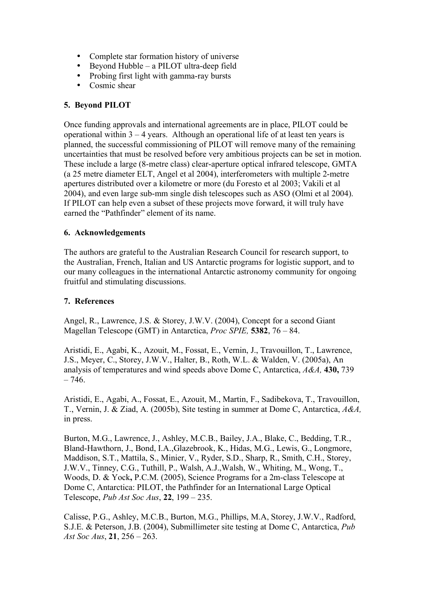Complete star formation history of universe Beyond Hubble – a PILOT ultra-deep field Probing first light with gamma-ray bursts Cosmic shear

#### **5. Beyond PILOT**

Once funding approvals and international agreements are in place, PILOT could be operational within 3 – 4 years. Although an operational life of at least ten years is planned, the successful commissioning of PILOT will remove many of the remaining uncertainties that must be resolved before very ambitious projects can be set in motion. These include a large (8-metre class) clear-aperture optical infrared telescope, GMTA (a 25 metre diameter ELT, Angel et al 2004), interferometers with multiple 2-metre apertures distributed over a kilometre or more (du Foresto et al 2003; Vakili et al 2004), and even large sub-mm single dish telescopes such as ASO (Olmi et al 2004). If PILOT can help even a subset of these projects move forward, it will truly have earned the "Pathfinder" element of its name.

#### **6. Acknowledgements**

The authors are grateful to the Australian Research Council for research support, to the Australian, French, Italian and US Antarctic programs for logistic support, and to our many colleagues in the international Antarctic astronomy community for ongoing fruitful and stimulating discussions.

#### **7. References**

Angel, R., Lawrence, J.S. & Storey, J.W.V. (2004), Concept for a second Giant Magellan Telescope (GMT) in Antarctica, *Proc SPIE,* **5382**, 76 – 84.

Aristidi, E., Agabi, K., Azouit, M., Fossat, E., Vernin, J., Travouillon, T., Lawrence, J.S., Meyer, C., Storey, J.W.V., Halter, B., Roth, W.L. & Walden, V. (2005a), An analysis of temperatures and wind speeds above Dome C, Antarctica, *A&A,* **430,** 739  $-746.$ 

Aristidi, E., Agabi, A., Fossat, E., Azouit, M., Martin, F., Sadibekova, T., Travouillon, T., Vernin, J. & Ziad, A. (2005b), Site testing in summer at Dome C, Antarctica, *A&A,* in press.

Burton, M.G., Lawrence, J., Ashley, M.C.B., Bailey, J.A., Blake, C., Bedding, T.R., Bland-Hawthorn, J., Bond, I.A.,Glazebrook, K., Hidas, M.G., Lewis, G., Longmore, Maddison, S.T., Mattila, S., Minier, V., Ryder, S.D., Sharp, R., Smith, C.H., Storey, J.W.V., Tinney, C.G., Tuthill, P., Walsh, A.J.,Walsh, W., Whiting, M., Wong, T., Woods, D. & Yock**,** P.C.M. (2005), Science Programs for a 2m-class Telescope at Dome C, Antarctica: PILOT, the Pathfinder for an International Large Optical Telescope, *Pub Ast Soc Aus*, **22**, 199 – 235.

Calisse, P.G., Ashley, M.C.B., Burton, M.G., Phillips, M.A, Storey, J.W.V., Radford, S.J.E. & Peterson, J.B. (2004), Submillimeter site testing at Dome C, Antarctica, *Pub Ast Soc Aus*, **21**, 256 – 263.